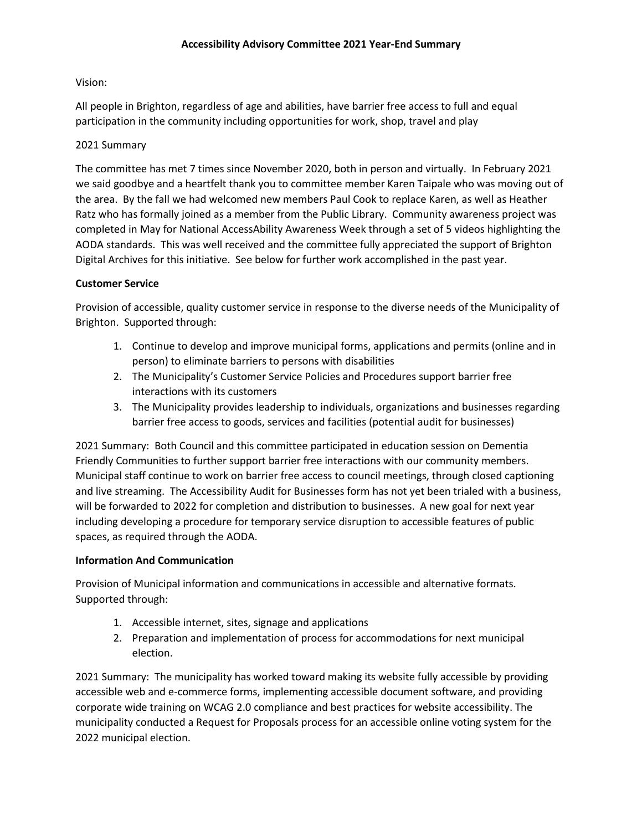# Vision:

All people in Brighton, regardless of age and abilities, have barrier free access to full and equal participation in the community including opportunities for work, shop, travel and play

## 2021 Summary

The committee has met 7 times since November 2020, both in person and virtually. In February 2021 we said goodbye and a heartfelt thank you to committee member Karen Taipale who was moving out of the area. By the fall we had welcomed new members Paul Cook to replace Karen, as well as Heather Ratz who has formally joined as a member from the Public Library. Community awareness project was completed in May for National AccessAbility Awareness Week through a set of 5 videos highlighting the AODA standards. This was well received and the committee fully appreciated the support of Brighton Digital Archives for this initiative. See below for further work accomplished in the past year.

# **Customer Service**

Provision of accessible, quality customer service in response to the diverse needs of the Municipality of Brighton. Supported through:

- 1. Continue to develop and improve municipal forms, applications and permits (online and in person) to eliminate barriers to persons with disabilities
- 2. The Municipality's Customer Service Policies and Procedures support barrier free interactions with its customers
- 3. The Municipality provides leadership to individuals, organizations and businesses regarding barrier free access to goods, services and facilities (potential audit for businesses)

2021 Summary: Both Council and this committee participated in education session on Dementia Friendly Communities to further support barrier free interactions with our community members. Municipal staff continue to work on barrier free access to council meetings, through closed captioning and live streaming. The Accessibility Audit for Businesses form has not yet been trialed with a business, will be forwarded to 2022 for completion and distribution to businesses. A new goal for next year including developing a procedure for temporary service disruption to accessible features of public spaces, as required through the AODA.

#### **Information And Communication**

Provision of Municipal information and communications in accessible and alternative formats. Supported through:

- 1. Accessible internet, sites, signage and applications
- 2. Preparation and implementation of process for accommodations for next municipal election.

2021 Summary: The municipality has worked toward making its website fully accessible by providing accessible web and e-commerce forms, implementing accessible document software, and providing corporate wide training on WCAG 2.0 compliance and best practices for website accessibility. The municipality conducted a Request for Proposals process for an accessible online voting system for the 2022 municipal election.